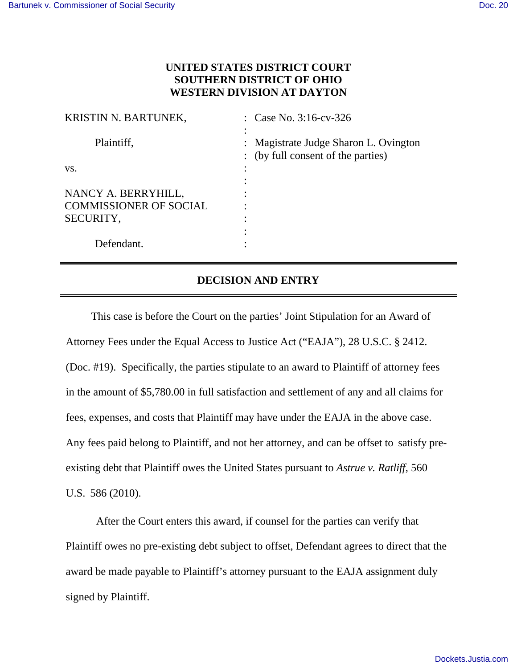## **UNITED STATES DISTRICT COURT SOUTHERN DISTRICT OF OHIO WESTERN DIVISION AT DAYTON**

| KRISTIN N. BARTUNEK,          | : Case No. $3:16$ -cv-326                                                   |
|-------------------------------|-----------------------------------------------------------------------------|
| Plaintiff,                    | : Magistrate Judge Sharon L. Ovington<br>: (by full consent of the parties) |
| VS.                           |                                                                             |
|                               |                                                                             |
| NANCY A. BERRYHILL,           |                                                                             |
| <b>COMMISSIONER OF SOCIAL</b> |                                                                             |
| SECURITY,                     |                                                                             |
|                               | ٠                                                                           |
| Defendant.                    |                                                                             |

## **DECISION AND ENTRY**

This case is before the Court on the parties' Joint Stipulation for an Award of Attorney Fees under the Equal Access to Justice Act ("EAJA"), 28 U.S.C. § 2412. (Doc. #19). Specifically, the parties stipulate to an award to Plaintiff of attorney fees in the amount of \$5,780.00 in full satisfaction and settlement of any and all claims for fees, expenses, and costs that Plaintiff may have under the EAJA in the above case. Any fees paid belong to Plaintiff, and not her attorney, and can be offset to satisfy preexisting debt that Plaintiff owes the United States pursuant to *Astrue v. Ratliff*, 560 U.S. 586 (2010).

After the Court enters this award, if counsel for the parties can verify that Plaintiff owes no pre-existing debt subject to offset, Defendant agrees to direct that the award be made payable to Plaintiff's attorney pursuant to the EAJA assignment duly signed by Plaintiff.